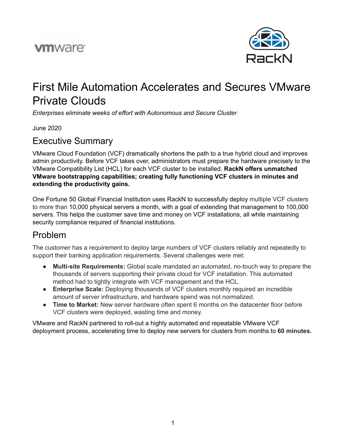# **vm**ware<sup>®</sup>



# First Mile Automation Accelerates and Secures VMware Private Clouds

*Enterprises eliminate weeks of effort with Autonomous and Secure Cluster*

June 2020

#### Executive Summary

VMware Cloud Foundation (VCF) dramatically shortens the path to a true hybrid cloud and improves admin productivity. Before VCF takes over, administrators must prepare the hardware precisely to the VMware Compatibility List (HCL) for each VCF cluster to be installed. **RackN offers unmatched VMware bootstrapping capabilities; creating fully functioning VCF clusters in minutes and extending the productivity gains.**

One Fortune 50 Global Financial Institution uses RackN to successfully deploy multiple VCF clusters to more than 10,000 physical servers a month, with a goal of extending that management to 100,000 servers. This helps the customer save time and money on VCF installations, all while maintaining security compliance required of financial institutions.

#### Problem

The customer has a requirement to deploy large numbers of VCF clusters reliably and repeatedly to support their banking application requirements. Several challenges were met:

- **Multi-site Requirements:** Global scale mandated an automated, no-touch way to prepare the thousands of servers supporting their private cloud for VCF installation. This automated method had to tightly integrate with VCF management and the HCL.
- **Enterprise Scale:** Deploying thousands of VCF clusters monthly required an incredible amount of server infrastructure, and hardware spend was not normalized.
- **Time to Market:** New server hardware often spent 6 months on the datacenter floor before VCF clusters were deployed, wasting time and money.

VMware and RackN partnered to roll-out a highly automated and repeatable VMware VCF deployment process, accelerating time to deploy new servers for clusters from months to **60 minutes.**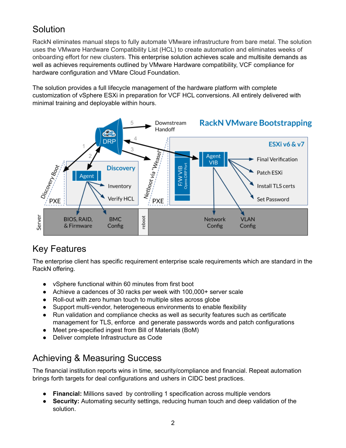## Solution

RackN eliminates manual steps to fully automate VMware infrastructure from bare metal. The solution uses the VMware Hardware Compatibility List (HCL) to create automation and eliminates weeks of onboarding effort for new clusters. This enterprise solution achieves scale and multisite demands as well as achieves requirements outlined by VMware Hardware compatibility, VCF compliance for hardware configuration and VMare Cloud Foundation.

The solution provides a full lifecycle management of the hardware platform with complete customization of vSphere ESXi in preparation for VCF HCL conversions. All entirely delivered with minimal training and deployable within hours.



### Key Features

The enterprise client has specific requirement enterprise scale requirements which are standard in the RackN offering.

- vSphere functional within 60 minutes from first boot
- Achieve a cadences of 30 racks per week with 100,000+ server scale
- Roll-out with zero human touch to multiple sites across globe
- Support multi-vendor, heterogeneous environments to enable flexibility
- Run validation and compliance checks as well as security features such as certificate management for TLS, enforce and generate passwords words and patch configurations
- Meet pre-specified ingest from Bill of Materials (BoM)
- Deliver complete Infrastructure as Code

## Achieving & Measuring Success

The financial institution reports wins in time, security/compliance and financial. Repeat automation brings forth targets for deal configurations and ushers in CIDC best practices.

- **Financial:** Millions saved by controlling 1 specification across multiple vendors
- **Security:** Automating security settings, reducing human touch and deep validation of the solution.